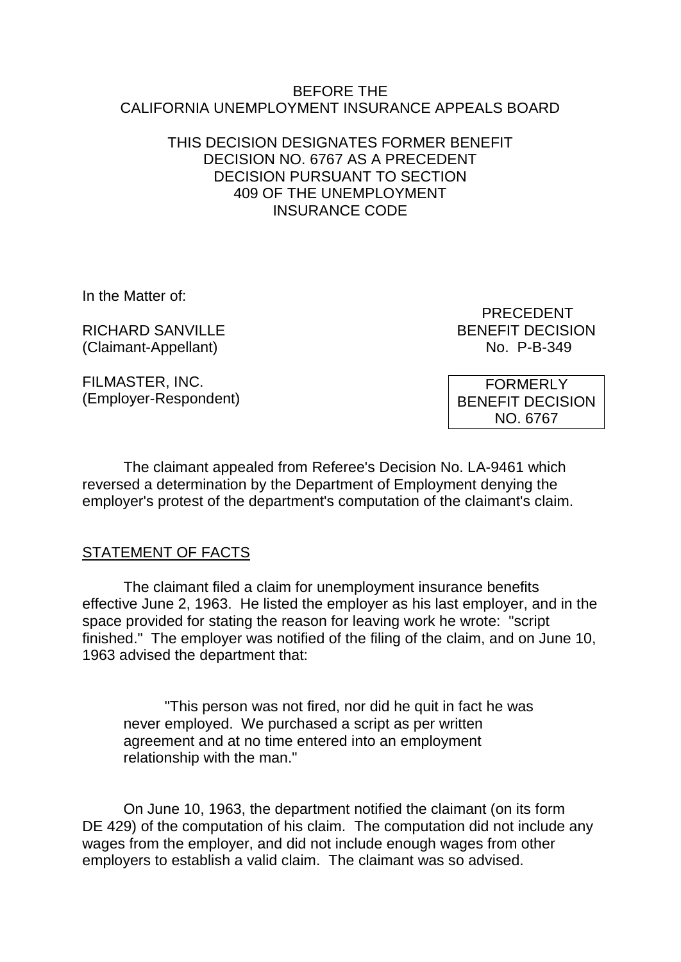## BEFORE THE CALIFORNIA UNEMPLOYMENT INSURANCE APPEALS BOARD

# THIS DECISION DESIGNATES FORMER BENEFIT DECISION NO. 6767 AS A PRECEDENT DECISION PURSUANT TO SECTION 409 OF THE UNEMPLOYMENT INSURANCE CODE

In the Matter of:

RICHARD SANVILLE **EXECUTE A SERVICE AND RESISTENT DECISION** (Claimant-Appellant) No. P-B-349

FILMASTER, INC. (Employer-Respondent) PRECEDENT

**FORMERLY** BENEFIT DECISION NO. 6767

The claimant appealed from Referee's Decision No. LA-9461 which reversed a determination by the Department of Employment denying the employer's protest of the department's computation of the claimant's claim.

# STATEMENT OF FACTS

The claimant filed a claim for unemployment insurance benefits effective June 2, 1963. He listed the employer as his last employer, and in the space provided for stating the reason for leaving work he wrote: "script finished." The employer was notified of the filing of the claim, and on June 10, 1963 advised the department that:

"This person was not fired, nor did he quit in fact he was never employed. We purchased a script as per written agreement and at no time entered into an employment relationship with the man."

On June 10, 1963, the department notified the claimant (on its form DE 429) of the computation of his claim. The computation did not include any wages from the employer, and did not include enough wages from other employers to establish a valid claim. The claimant was so advised.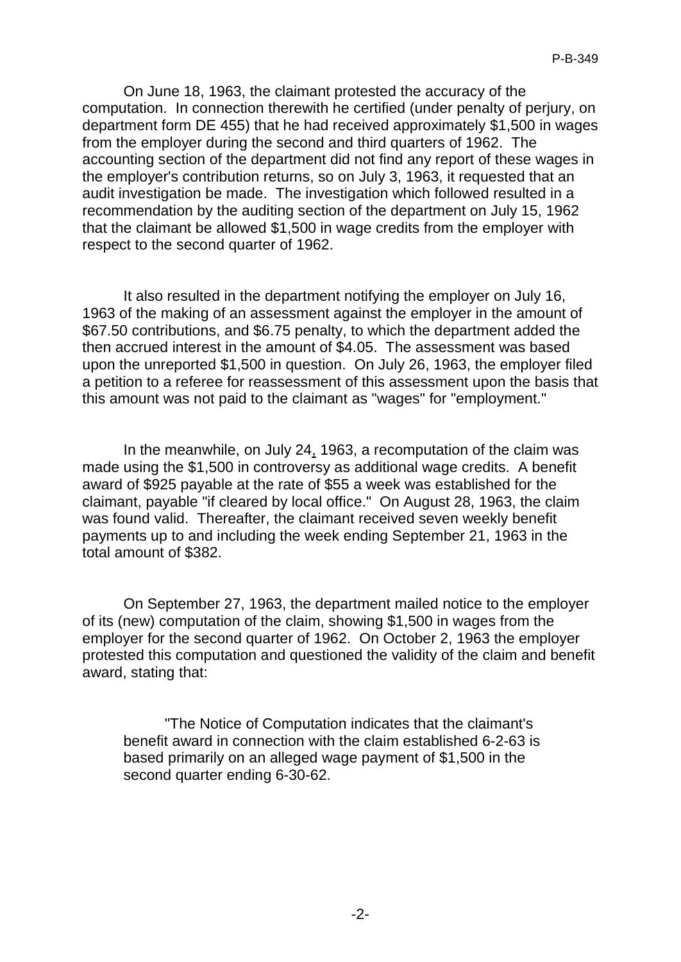On June 18, 1963, the claimant protested the accuracy of the computation. In connection therewith he certified (under penalty of perjury, on department form DE 455) that he had received approximately \$1,500 in wages from the employer during the second and third quarters of 1962. The accounting section of the department did not find any report of these wages in the employer's contribution returns, so on July 3, 1963, it requested that an audit investigation be made. The investigation which followed resulted in a recommendation by the auditing section of the department on July 15, 1962 that the claimant be allowed \$1,500 in wage credits from the employer with respect to the second quarter of 1962.

It also resulted in the department notifying the employer on July 16, 1963 of the making of an assessment against the employer in the amount of \$67.50 contributions, and \$6.75 penalty, to which the department added the then accrued interest in the amount of \$4.05. The assessment was based upon the unreported \$1,500 in question. On July 26, 1963, the employer filed a petition to a referee for reassessment of this assessment upon the basis that this amount was not paid to the claimant as "wages" for "employment."

In the meanwhile, on July 24, 1963, a recomputation of the claim was made using the \$1,500 in controversy as additional wage credits. A benefit award of \$925 payable at the rate of \$55 a week was established for the claimant, payable "if cleared by local office." On August 28, 1963, the claim was found valid. Thereafter, the claimant received seven weekly benefit payments up to and including the week ending September 21, 1963 in the total amount of \$382.

On September 27, 1963, the department mailed notice to the employer of its (new) computation of the claim, showing \$1,500 in wages from the employer for the second quarter of 1962. On October 2, 1963 the employer protested this computation and questioned the validity of the claim and benefit award, stating that:

"The Notice of Computation indicates that the claimant's benefit award in connection with the claim established 6-2-63 is based primarily on an alleged wage payment of \$1,500 in the second quarter ending 6-30-62.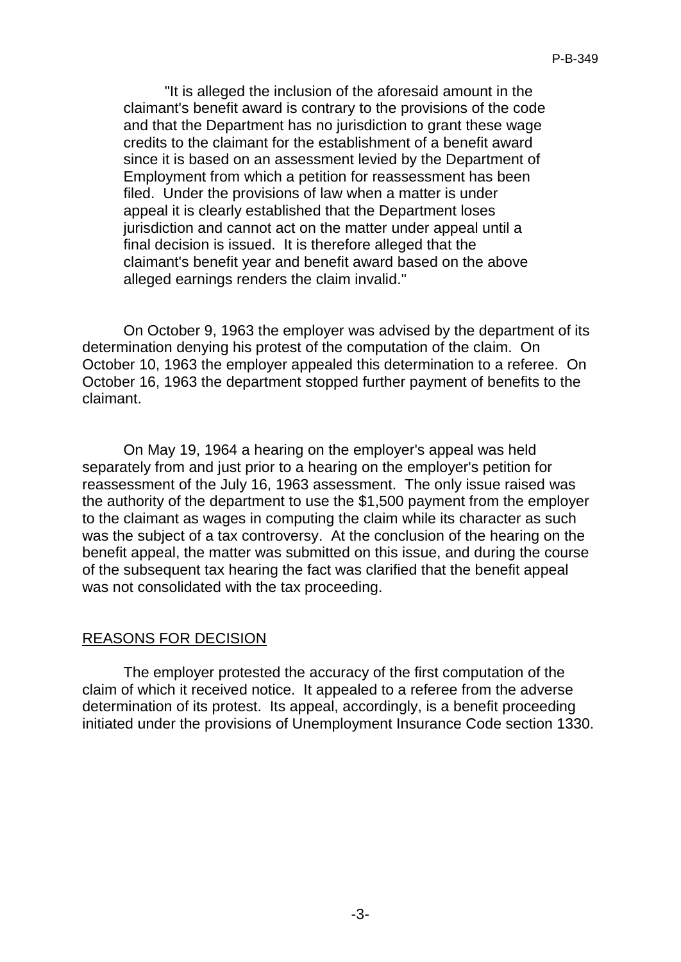"It is alleged the inclusion of the aforesaid amount in the claimant's benefit award is contrary to the provisions of the code and that the Department has no jurisdiction to grant these wage credits to the claimant for the establishment of a benefit award since it is based on an assessment levied by the Department of Employment from which a petition for reassessment has been filed. Under the provisions of law when a matter is under appeal it is clearly established that the Department loses jurisdiction and cannot act on the matter under appeal until a final decision is issued. It is therefore alleged that the claimant's benefit year and benefit award based on the above alleged earnings renders the claim invalid."

On October 9, 1963 the employer was advised by the department of its determination denying his protest of the computation of the claim. On October 10, 1963 the employer appealed this determination to a referee. On October 16, 1963 the department stopped further payment of benefits to the claimant.

On May 19, 1964 a hearing on the employer's appeal was held separately from and just prior to a hearing on the employer's petition for reassessment of the July 16, 1963 assessment. The only issue raised was the authority of the department to use the \$1,500 payment from the employer to the claimant as wages in computing the claim while its character as such was the subject of a tax controversy. At the conclusion of the hearing on the benefit appeal, the matter was submitted on this issue, and during the course of the subsequent tax hearing the fact was clarified that the benefit appeal was not consolidated with the tax proceeding.

## REASONS FOR DECISION

The employer protested the accuracy of the first computation of the claim of which it received notice. It appealed to a referee from the adverse determination of its protest. Its appeal, accordingly, is a benefit proceeding initiated under the provisions of Unemployment Insurance Code section 1330.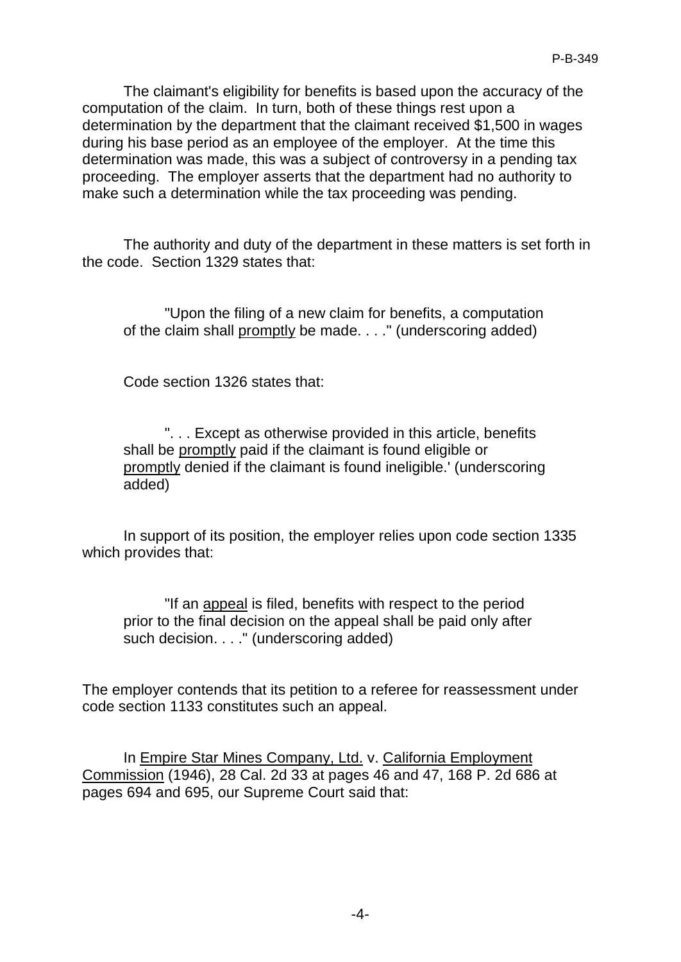The claimant's eligibility for benefits is based upon the accuracy of the computation of the claim. In turn, both of these things rest upon a determination by the department that the claimant received \$1,500 in wages during his base period as an employee of the employer. At the time this determination was made, this was a subject of controversy in a pending tax proceeding. The employer asserts that the department had no authority to make such a determination while the tax proceeding was pending.

The authority and duty of the department in these matters is set forth in the code. Section 1329 states that:

"Upon the filing of a new claim for benefits, a computation of the claim shall promptly be made. . . ." (underscoring added)

Code section 1326 states that:

". . . Except as otherwise provided in this article, benefits shall be promptly paid if the claimant is found eligible or promptly denied if the claimant is found ineligible.' (underscoring added)

In support of its position, the employer relies upon code section 1335 which provides that:

"If an appeal is filed, benefits with respect to the period prior to the final decision on the appeal shall be paid only after such decision. . . . " (underscoring added)

The employer contends that its petition to a referee for reassessment under code section 1133 constitutes such an appeal.

In Empire Star Mines Company, Ltd. v. California Employment Commission (1946), 28 Cal. 2d 33 at pages 46 and 47, 168 P. 2d 686 at pages 694 and 695, our Supreme Court said that: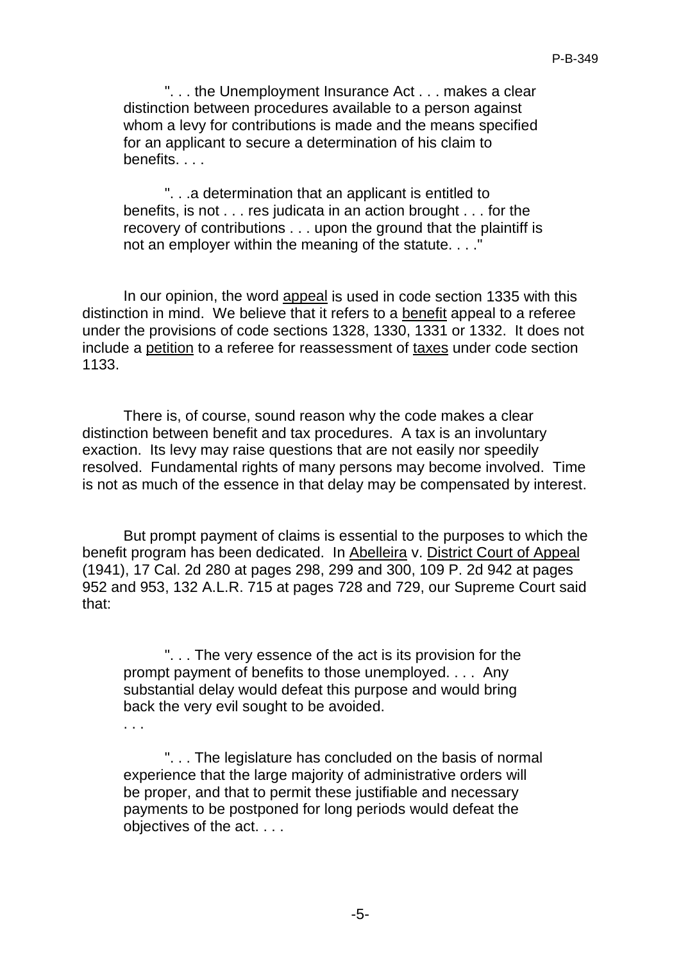". . . the Unemployment Insurance Act . . . makes a clear distinction between procedures available to a person against whom a levy for contributions is made and the means specified for an applicant to secure a determination of his claim to benefits. . . .

". . .a determination that an applicant is entitled to benefits, is not . . . res judicata in an action brought . . . for the recovery of contributions . . . upon the ground that the plaintiff is not an employer within the meaning of the statute. . . ."

In our opinion, the word appeal is used in code section 1335 with this distinction in mind. We believe that it refers to a benefit appeal to a referee under the provisions of code sections 1328, 1330, 1331 or 1332. It does not include a petition to a referee for reassessment of taxes under code section 1133.

There is, of course, sound reason why the code makes a clear distinction between benefit and tax procedures. A tax is an involuntary exaction. Its levy may raise questions that are not easily nor speedily resolved. Fundamental rights of many persons may become involved. Time is not as much of the essence in that delay may be compensated by interest.

But prompt payment of claims is essential to the purposes to which the benefit program has been dedicated. In Abelleira v. District Court of Appeal (1941), 17 Cal. 2d 280 at pages 298, 299 and 300, 109 P. 2d 942 at pages 952 and 953, 132 A.L.R. 715 at pages 728 and 729, our Supreme Court said that:

". . . The very essence of the act is its provision for the prompt payment of benefits to those unemployed. . . . Any substantial delay would defeat this purpose and would bring back the very evil sought to be avoided.

. . .

". . . The legislature has concluded on the basis of normal experience that the large majority of administrative orders will be proper, and that to permit these justifiable and necessary payments to be postponed for long periods would defeat the objectives of the act. . . .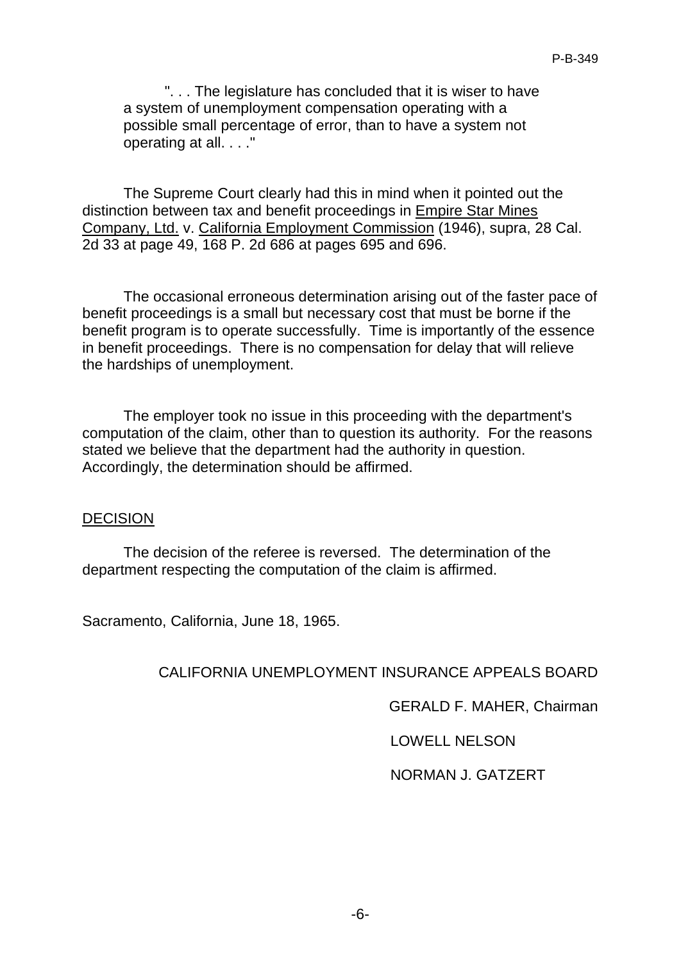". . . The legislature has concluded that it is wiser to have a system of unemployment compensation operating with a possible small percentage of error, than to have a system not operating at all. . . ."

The Supreme Court clearly had this in mind when it pointed out the distinction between tax and benefit proceedings in Empire Star Mines Company, Ltd. v. California Employment Commission (1946), supra, 28 Cal. 2d 33 at page 49, 168 P. 2d 686 at pages 695 and 696.

The occasional erroneous determination arising out of the faster pace of benefit proceedings is a small but necessary cost that must be borne if the benefit program is to operate successfully. Time is importantly of the essence in benefit proceedings. There is no compensation for delay that will relieve the hardships of unemployment.

The employer took no issue in this proceeding with the department's computation of the claim, other than to question its authority. For the reasons stated we believe that the department had the authority in question. Accordingly, the determination should be affirmed.

#### DECISION

The decision of the referee is reversed. The determination of the department respecting the computation of the claim is affirmed.

Sacramento, California, June 18, 1965.

## CALIFORNIA UNEMPLOYMENT INSURANCE APPEALS BOARD

GERALD F. MAHER, Chairman

LOWELL NELSON

## NORMAN J. GATZERT